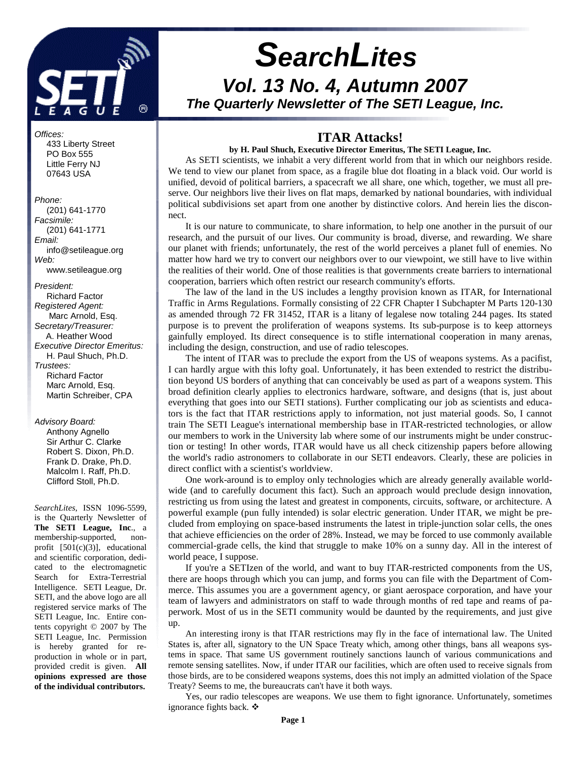

 **SearchLites Vol. 13 No. 4, Autumn 2007 The Quarterly Newsletter of The SETI League, Inc.** 

Offices:

 433 Liberty Street PO Box 555 Little Ferry NJ 07643 USA

#### Phone: (201) 641-1770 Facsimile:

 (201) 641-1771 Email: info@setileague.org Web: www.setileague.org

President: Richard Factor Registered Agent: Marc Arnold, Esq. Secretary/Treasurer: A. Heather Wood Executive Director Emeritus: H. Paul Shuch, Ph.D. Trustees: Richard Factor Marc Arnold, Esq. Martin Schreiber, CPA

### Advisory Board:

 Anthony Agnello Sir Arthur C. Clarke Robert S. Dixon, Ph.D. Frank D. Drake, Ph.D. Malcolm I. Raff, Ph.D. Clifford Stoll, Ph.D.

*SearchLites*, ISSN 1096-5599, is the Quarterly Newsletter of **The SETI League, Inc**., a membership-supported, nonprofit [501(c)(3)], educational and scientific corporation, dedicated to the electromagnetic Search for Extra-Terrestrial Intelligence. SETI League, Dr. SETI, and the above logo are all registered service marks of The SETI League, Inc. Entire contents copyright © 2007 by The SETI League, Inc. Permission is hereby granted for reproduction in whole or in part, provided credit is given. **All opinions expressed are those of the individual contributors.** 

# **ITAR Attacks!**

#### **by H. Paul Shuch, Executive Director Emeritus, The SETI League, Inc.**

As SETI scientists, we inhabit a very different world from that in which our neighbors reside. We tend to view our planet from space, as a fragile blue dot floating in a black void. Our world is unified, devoid of political barriers, a spacecraft we all share, one which, together, we must all preserve. Our neighbors live their lives on flat maps, demarked by national boundaries, with individual political subdivisions set apart from one another by distinctive colors. And herein lies the disconnect.

It is our nature to communicate, to share information, to help one another in the pursuit of our research, and the pursuit of our lives. Our community is broad, diverse, and rewarding. We share our planet with friends; unfortunately, the rest of the world perceives a planet full of enemies. No matter how hard we try to convert our neighbors over to our viewpoint, we still have to live within the realities of their world. One of those realities is that governments create barriers to international cooperation, barriers which often restrict our research community's efforts.

The law of the land in the US includes a lengthy provision known as ITAR, for International Traffic in Arms Regulations. Formally consisting of 22 CFR Chapter I Subchapter M Parts 120-130 as amended through 72 FR 31452, ITAR is a litany of legalese now totaling 244 pages. Its stated purpose is to prevent the proliferation of weapons systems. Its sub-purpose is to keep attorneys gainfully employed. Its direct consequence is to stifle international cooperation in many arenas, including the design, construction, and use of radio telescopes.

The intent of ITAR was to preclude the export from the US of weapons systems. As a pacifist, I can hardly argue with this lofty goal. Unfortunately, it has been extended to restrict the distribution beyond US borders of anything that can conceivably be used as part of a weapons system. This broad definition clearly applies to electronics hardware, software, and designs (that is, just about everything that goes into our SETI stations). Further complicating our job as scientists and educators is the fact that ITAR restrictions apply to information, not just material goods. So, I cannot train The SETI League's international membership base in ITAR-restricted technologies, or allow our members to work in the University lab where some of our instruments might be under construction or testing! In other words, ITAR would have us all check citizenship papers before allowing the world's radio astronomers to collaborate in our SETI endeavors. Clearly, these are policies in direct conflict with a scientist's worldview.

One work-around is to employ only technologies which are already generally available worldwide (and to carefully document this fact). Such an approach would preclude design innovation, restricting us from using the latest and greatest in components, circuits, software, or architecture. A powerful example (pun fully intended) is solar electric generation. Under ITAR, we might be precluded from employing on space-based instruments the latest in triple-junction solar cells, the ones that achieve efficiencies on the order of 28%. Instead, we may be forced to use commonly available commercial-grade cells, the kind that struggle to make 10% on a sunny day. All in the interest of world peace, I suppose.

If you're a SETIzen of the world, and want to buy ITAR-restricted components from the US, there are hoops through which you can jump, and forms you can file with the Department of Commerce. This assumes you are a government agency, or giant aerospace corporation, and have your team of lawyers and administrators on staff to wade through months of red tape and reams of paperwork. Most of us in the SETI community would be daunted by the requirements, and just give up.

An interesting irony is that ITAR restrictions may fly in the face of international law. The United States is, after all, signatory to the UN Space Treaty which, among other things, bans all weapons systems in space. That same US government routinely sanctions launch of various communications and remote sensing satellites. Now, if under ITAR our facilities, which are often used to receive signals from those birds, are to be considered weapons systems, does this not imply an admitted violation of the Space Treaty? Seems to me, the bureaucrats can't have it both ways.

Yes, our radio telescopes are weapons. We use them to fight ignorance. Unfortunately, sometimes ignorance fights back. ❖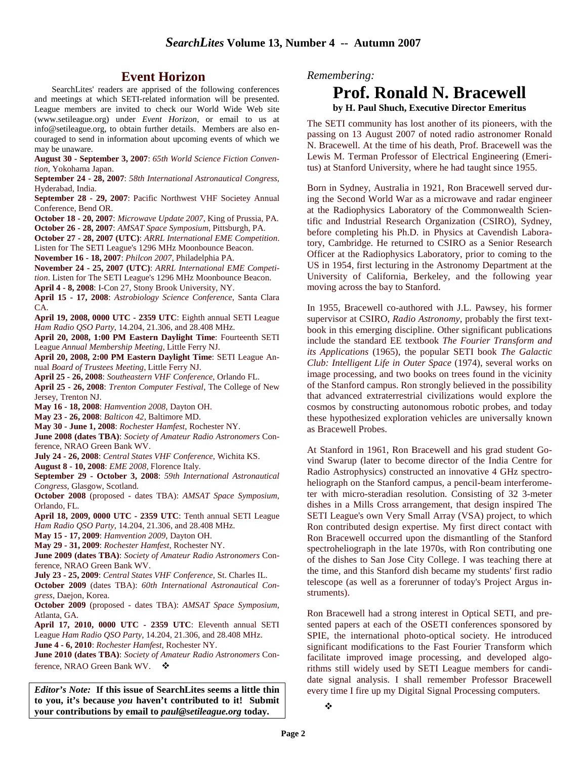## **Event Horizon**

SearchLites' readers are apprised of the following conferences and meetings at which SETI-related information will be presented. League members are invited to check our World Wide Web site (www.setileague.org) under *Event Horizon*, or email to us at info@setileague.org, to obtain further details. Members are also encouraged to send in information about upcoming events of which we may be unaware.

**August 30 - September 3, 2007**: *65th World Science Fiction Convention*, Yokohama Japan.

**September 24 - 28, 2007**: *58th International Astronautical Congress*, Hyderabad, India.

**September 28 - 29, 2007**: Pacific Northwest VHF Societey Annual Conference, Bend OR.

**October 18 - 20, 2007**: *Microwave Update 2007*, King of Prussia, PA. **October 26 - 28, 2007**: *AMSAT Space Symposium*, Pittsburgh, PA.

**October 27 - 28, 2007 (UTC)**: *ARRL International EME Competition*.

Listen for The SETI League's 1296 MHz Moonbounce Beacon.

**November 16 - 18, 2007**: *Philcon 2007*, Philadelphia PA.

**November 24 - 25, 2007 (UTC)**: *ARRL International EME Competition*. Listen for The SETI League's 1296 MHz Moonbounce Beacon.

**April 4 - 8, 2008**: I-Con 27, Stony Brook University, NY.

**April 15 - 17, 2008**: *Astrobiology Science Conference*, Santa Clara CA.

**April 19, 2008, 0000 UTC - 2359 UTC**: Eighth annual SETI League *Ham Radio QSO Party*, 14.204, 21.306, and 28.408 MHz.

**April 20, 2008, 1:00 PM Eastern Daylight Time**: Fourteenth SETI League *Annual Membership Meeting*, Little Ferry NJ.

**April 20, 2008, 2:00 PM Eastern Daylight Time**: SETI League Annual *Board of Trustees Meeting*, Little Ferry NJ.

**April 25 - 26, 2008**: *Southeastern VHF Conference*, Orlando FL.

**April 25 - 26, 2008**: *Trenton Computer Festival*, The College of New Jersey, Trenton NJ.

**May 16 - 18, 2008**: *Hamvention 2008*, Dayton OH.

**May 23 - 26, 2008**: *Balticon 42*, Baltimore MD.

**May 30 - June 1, 2008**: *Rochester Hamfest*, Rochester NY.

**June 2008 (dates TBA)**: *Society of Amateur Radio Astronomers* Conference, NRAO Green Bank WV.

**July 24 - 26, 2008**: *Central States VHF Conference*, Wichita KS. **August 8 - 10, 2008**: *EME 2008*, Florence Italy.

**September 29 - October 3, 2008**: *59th International Astronautical Congress*, Glasgow, Scotland.

**October 2008** (proposed - dates TBA): *AMSAT Space Symposium*, Orlando, FL.

**April 18, 2009, 0000 UTC - 2359 UTC**: Tenth annual SETI League *Ham Radio QSO Party*, 14.204, 21.306, and 28.408 MHz.

**May 15 - 17, 2009**: *Hamvention 2009*, Dayton OH.

**May 29 - 31, 2009**: *Rochester Hamfest*, Rochester NY.

**June 2009 (dates TBA)**: *Society of Amateur Radio Astronomers* Conference, NRAO Green Bank WV.

**July 23 - 25, 2009**: *Central States VHF Conference*, St. Charles IL.

**October 2009** (dates TBA): *60th International Astronautical Congress*, Daejon, Korea.

**October 2009** (proposed - dates TBA): *AMSAT Space Symposium*, Atlanta, GA.

**April 17, 2010, 0000 UTC - 2359 UTC**: Eleventh annual SETI League *Ham Radio QSO Party*, 14.204, 21.306, and 28.408 MHz. **June 4 - 6, 2010**: *Rochester Hamfest*, Rochester NY.

**June 2010 (dates TBA)**: *Society of Amateur Radio Astronomers* Conference, NRAO Green Bank WV. ❖

*Editor's Note:* **If this issue of SearchLites seems a little thin to you, it's because** *you* **haven't contributed to it! Submit your contributions by email to** *paul@setileague.org* **today.**

*Remembering:*

## **Prof. Ronald N. Bracewell by H. Paul Shuch, Executive Director Emeritus**

The SETI community has lost another of its pioneers, with the passing on 13 August 2007 of noted radio astronomer Ronald N. Bracewell. At the time of his death, Prof. Bracewell was the Lewis M. Terman Professor of Electrical Engineering (Emeritus) at Stanford University, where he had taught since 1955.

Born in Sydney, Australia in 1921, Ron Bracewell served during the Second World War as a microwave and radar engineer at the Radiophysics Laboratory of the Commonwealth Scientific and Industrial Research Organization (CSIRO), Sydney, before completing his Ph.D. in Physics at Cavendish Laboratory, Cambridge. He returned to CSIRO as a Senior Research Officer at the Radiophysics Laboratory, prior to coming to the US in 1954, first lecturing in the Astronomy Department at the University of California, Berkeley, and the following year moving across the bay to Stanford.

In 1955, Bracewell co-authored with J.L. Pawsey, his former supervisor at CSIRO, *Radio Astronomy*, probably the first textbook in this emerging discipline. Other significant publications include the standard EE textbook *The Fourier Transform and its Applications* (1965), the popular SETI book *The Galactic Club: Intelligent Life in Outer Space* (1974), several works on image processing, and two books on trees found in the vicinity of the Stanford campus. Ron strongly believed in the possibility that advanced extraterrestrial civilizations would explore the cosmos by constructing autonomous robotic probes, and today these hypothesized exploration vehicles are universally known as Bracewell Probes.

At Stanford in 1961, Ron Bracewell and his grad student Govind Swarup (later to become director of the India Centre for Radio Astrophysics) constructed an innovative 4 GHz spectroheliograph on the Stanford campus, a pencil-beam interferometer with micro-steradian resolution. Consisting of 32 3-meter dishes in a Mills Cross arrangement, that design inspired The SETI League's own Very Small Array (VSA) project, to which Ron contributed design expertise. My first direct contact with Ron Bracewell occurred upon the dismantling of the Stanford spectroheliograph in the late 1970s, with Ron contributing one of the dishes to San Jose City College. I was teaching there at the time, and this Stanford dish became my students' first radio telescope (as well as a forerunner of today's Project Argus instruments).

Ron Bracewell had a strong interest in Optical SETI, and presented papers at each of the OSETI conferences sponsored by SPIE, the international photo-optical society. He introduced significant modifications to the Fast Fourier Transform which facilitate improved image processing, and developed algorithms still widely used by SETI League members for candidate signal analysis. I shall remember Professor Bracewell every time I fire up my Digital Signal Processing computers.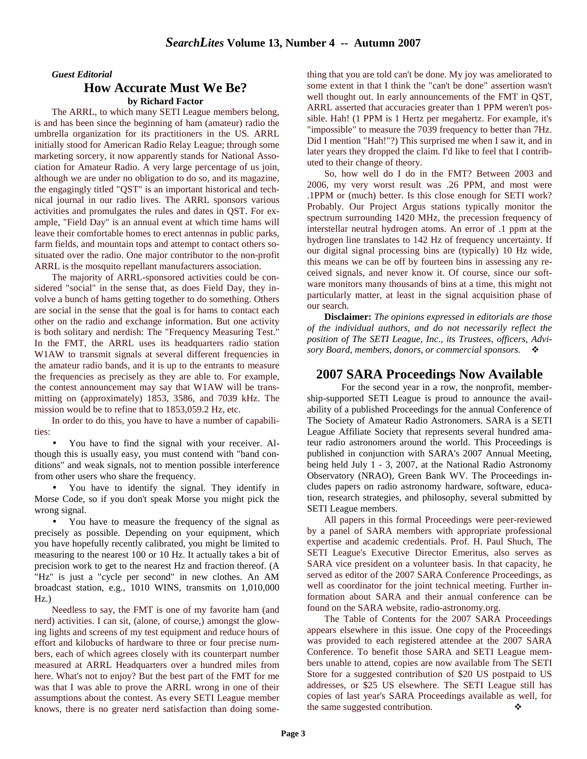*Guest Editorial*

## **How Accurate Must We Be? by Richard Factor**

The ARRL, to which many SETI League members belong, is and has been since the beginning of ham (amateur) radio the umbrella organization for its practitioners in the US. ARRL initially stood for American Radio Relay League; through some marketing sorcery, it now apparently stands for National Association for Amateur Radio. A very large percentage of us join, although we are under no obligation to do so, and its magazine, the engagingly titled "QST" is an important historical and technical journal in our radio lives. The ARRL sponsors various activities and promulgates the rules and dates in QST. For example, "Field Day" is an annual event at which time hams will leave their comfortable homes to erect antennas in public parks, farm fields, and mountain tops and attempt to contact others sosituated over the radio. One major contributor to the non-profit ARRL is the mosquito repellant manufacturers association.

The majority of ARRL-sponsored activities could be considered "social" in the sense that, as does Field Day, they involve a bunch of hams getting together to do something. Others are social in the sense that the goal is for hams to contact each other on the radio and exchange information. But one activity is both solitary and nerdish: The "Frequency Measuring Test." In the FMT, the ARRL uses its headquarters radio station W1AW to transmit signals at several different frequencies in the amateur radio bands, and it is up to the entrants to measure the frequencies as precisely as they are able to. For example, the contest announcement may say that W1AW will be transmitting on (approximately) 1853, 3586, and 7039 kHz. The mission would be to refine that to 1853,059.2 Hz, etc.

In order to do this, you have to have a number of capabilities:

You have to find the signal with your receiver. Although this is usually easy, you must contend with "band conditions" and weak signals, not to mention possible interference from other users who share the frequency.

• You have to identify the signal. They identify in Morse Code, so if you don't speak Morse you might pick the wrong signal.

• You have to measure the frequency of the signal as precisely as possible. Depending on your equipment, which you have hopefully recently calibrated, you might be limited to measuring to the nearest 100 or 10 Hz. It actually takes a bit of precision work to get to the nearest Hz and fraction thereof. (A "Hz" is just a "cycle per second" in new clothes. An AM broadcast station, e.g., 1010 WINS, transmits on 1,010,000 Hz.)

Needless to say, the FMT is one of my favorite ham (and nerd) activities. I can sit, (alone, of course,) amongst the glowing lights and screens of my test equipment and reduce hours of effort and kilobucks of hardware to three or four precise numbers, each of which agrees closely with its counterpart number measured at ARRL Headquarters over a hundred miles from here. What's not to enjoy? But the best part of the FMT for me was that I was able to prove the ARRL wrong in one of their assumptions about the contest. As every SETI League member knows, there is no greater nerd satisfaction than doing something that you are told can't be done. My joy was ameliorated to some extent in that I think the "can't be done" assertion wasn't well thought out. In early announcements of the FMT in QST, ARRL asserted that accuracies greater than 1 PPM weren't possible. Hah! (1 PPM is 1 Hertz per megahertz. For example, it's "impossible" to measure the 7039 frequency to better than 7Hz. Did I mention "Hah!"?) This surprised me when I saw it, and in later years they dropped the claim. I'd like to feel that I contributed to their change of theory.

So, how well do I do in the FMT? Between 2003 and 2006, my very worst result was .26 PPM, and most were .1PPM or (much) better. Is this close enough for SETI work? Probably. Our Project Argus stations typically monitor the spectrum surrounding 1420 MHz, the precession frequency of interstellar neutral hydrogen atoms. An error of .1 ppm at the hydrogen line translates to 142 Hz of frequency uncertainty. If our digital signal processing bins are (typically) 10 Hz wide, this means we can be off by fourteen bins in assessing any received signals, and never know it. Of course, since our software monitors many thousands of bins at a time, this might not particularly matter, at least in the signal acquisition phase of our search.

**Disclaimer:** *The opinions expressed in editorials are those of the individual authors, and do not necessarily reflect the position of The SETI League, Inc., its Trustees, officers, Advisory Board, members, donors, or commercial sponsors.*

## **2007 SARA Proceedings Now Available**

 For the second year in a row, the nonprofit, membership-supported SETI League is proud to announce the availability of a published Proceedings for the annual Conference of The Society of Amateur Radio Astronomers. SARA is a SETI League Affiliate Society that represents several hundred amateur radio astronomers around the world. This Proceedings is published in conjunction with SARA's 2007 Annual Meeting, being held July 1 - 3, 2007, at the National Radio Astronomy Observatory (NRAO), Green Bank WV. The Proceedings includes papers on radio astronomy hardware, software, education, research strategies, and philosophy, several submitted by SETI League members.

All papers in this formal Proceedings were peer-reviewed by a panel of SARA members with appropriate professional expertise and academic credentials. Prof. H. Paul Shuch, The SETI League's Executive Director Emeritus, also serves as SARA vice president on a volunteer basis. In that capacity, he served as editor of the 2007 SARA Conference Proceedings, as well as coordinator for the joint technical meeting. Further information about SARA and their annual conference can be found on the SARA website, radio-astronomy.org.

The Table of Contents for the 2007 SARA Proceedings appears elsewhere in this issue. One copy of the Proceedings was provided to each registered attendee at the 2007 SARA Conference. To benefit those SARA and SETI League members unable to attend, copies are now available from The SETI Store for a suggested contribution of \$20 US postpaid to US addresses, or \$25 US elsewhere. The SETI League still has copies of last year's SARA Proceedings available as well, for the same suggested contribution.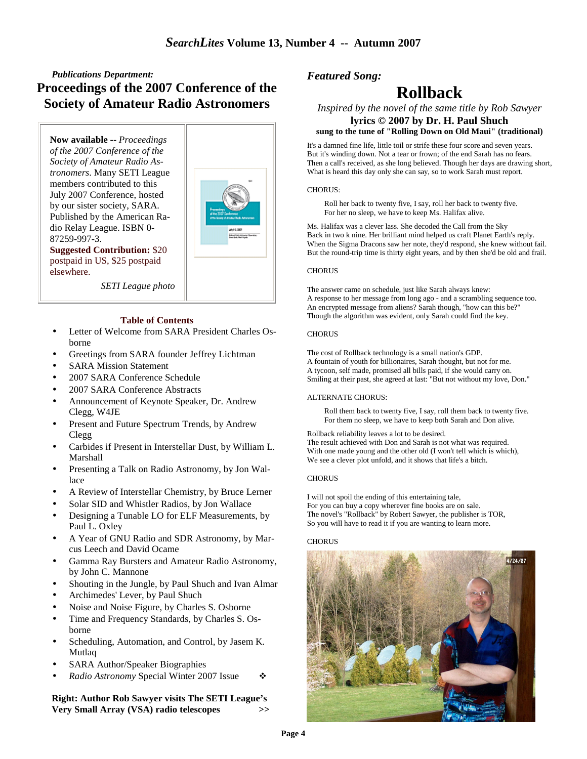# *Publications Department:* **Proceedings of the 2007 Conference of the Society of Amateur Radio Astronomers**

**Now available --** *Proceedings of the 2007 Conference of the Society of Amateur Radio Astronomers*. Many SETI League members contributed to this July 2007 Conference, hosted by our sister society, SARA. Published by the American Radio Relay League. ISBN 0- 87259-997-3.



**Suggested Contribution:** \$20 postpaid in US, \$25 postpaid elsewhere.

*SETI League photo*

#### **Table of Contents**

- Letter of Welcome from SARA President Charles Osborne
- Greetings from SARA founder Jeffrey Lichtman
- **SARA Mission Statement**
- 2007 SARA Conference Schedule
- 2007 SARA Conference Abstracts
- Announcement of Keynote Speaker, Dr. Andrew Clegg, W4JE
- Present and Future Spectrum Trends, by Andrew Clegg
- Carbides if Present in Interstellar Dust, by William L. Marshall
- Presenting a Talk on Radio Astronomy, by Jon Wallace
- A Review of Interstellar Chemistry, by Bruce Lerner
- Solar SID and Whistler Radios, by Jon Wallace
- Designing a Tunable LO for ELF Measurements, by Paul L. Oxley
- A Year of GNU Radio and SDR Astronomy, by Marcus Leech and David Ocame
- Gamma Ray Bursters and Amateur Radio Astronomy, by John C. Mannone
- Shouting in the Jungle, by Paul Shuch and Ivan Almar
- Archimedes' Lever, by Paul Shuch
- Noise and Noise Figure, by Charles S. Osborne
- Time and Frequency Standards, by Charles S. Osborne
- Scheduling, Automation, and Control, by Jasem K. Mutlaq
- SARA Author/Speaker Biographies
- *Radio Astronomy* Special Winter 2007 Issue

#### **Right: Author Rob Sawyer visits The SETI League's Very Small Array (VSA) radio telescopes >>**

## *Featured Song:*

# **Rollback**

*Inspired by the novel of the same title by Rob Sawyer* **lyrics © 2007 by Dr. H. Paul Shuch sung to the tune of "Rolling Down on Old Maui" (traditional)**

It's a damned fine life, little toil or strife these four score and seven years. But it's winding down. Not a tear or frown; of the end Sarah has no fears. Then a call's received, as she long believed. Though her days are drawing short, What is heard this day only she can say, so to work Sarah must report.

#### CHORUS:

Roll her back to twenty five, I say, roll her back to twenty five. For her no sleep, we have to keep Ms. Halifax alive.

Ms. Halifax was a clever lass. She decoded the Call from the Sky Back in two k nine. Her brilliant mind helped us craft Planet Earth's reply. When the Sigma Dracons saw her note, they'd respond, she knew without fail. But the round-trip time is thirty eight years, and by then she'd be old and frail.

#### **CHORUS**

The answer came on schedule, just like Sarah always knew: A response to her message from long ago - and a scrambling sequence too. An encrypted message from aliens? Sarah though, "how can this be?" Though the algorithm was evident, only Sarah could find the key.

#### **CHORUS**

The cost of Rollback technology is a small nation's GDP. A fountain of youth for billionaires, Sarah thought, but not for me. A tycoon, self made, promised all bills paid, if she would carry on. Smiling at their past, she agreed at last: "But not without my love, Don."

#### ALTERNATE CHORUS:

Roll them back to twenty five, I say, roll them back to twenty five. For them no sleep, we have to keep both Sarah and Don alive.

Rollback reliability leaves a lot to be desired. The result achieved with Don and Sarah is not what was required. With one made young and the other old (I won't tell which is which), We see a clever plot unfold, and it shows that life's a bitch.

#### **CHORUS**

I will not spoil the ending of this entertaining tale, For you can buy a copy wherever fine books are on sale. The novel's "Rollback" by Robert Sawyer, the publisher is TOR, So you will have to read it if you are wanting to learn more.

#### **CHORUS**

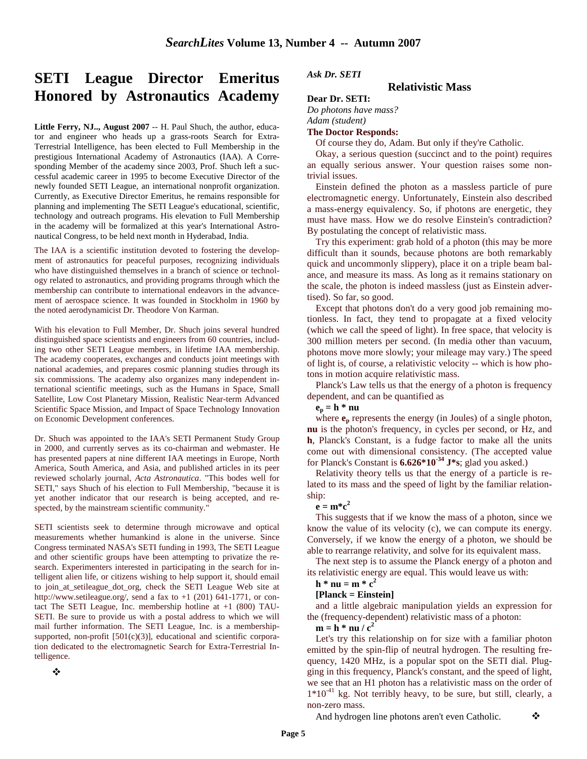# **SETI League Director Emeritus Honored by Astronautics Academy**

Little Ferry, NJ.., August 2007 -- H. Paul Shuch, the author, educator and engineer who heads up a grass-roots Search for Extra-Terrestrial Intelligence, has been elected to Full Membership in the prestigious International Academy of Astronautics (IAA). A Corresponding Member of the academy since 2003, Prof. Shuch left a successful academic career in 1995 to become Executive Director of the newly founded SETI League, an international nonprofit organization. Currently, as Executive Director Emeritus, he remains responsible for planning and implementing The SETI League's educational, scientific, technology and outreach programs. His elevation to Full Membership in the academy will be formalized at this year's International Astronautical Congress, to be held next month in Hyderabad, India.

The IAA is a scientific institution devoted to fostering the development of astronautics for peaceful purposes, recognizing individuals who have distinguished themselves in a branch of science or technology related to astronautics, and providing programs through which the membership can contribute to international endeavors in the advancement of aerospace science. It was founded in Stockholm in 1960 by the noted aerodynamicist Dr. Theodore Von Karman.

With his elevation to Full Member, Dr. Shuch joins several hundred distinguished space scientists and engineers from 60 countries, including two other SETI League members, in lifetime IAA membership. The academy cooperates, exchanges and conducts joint meetings with national academies, and prepares cosmic planning studies through its six commissions. The academy also organizes many independent international scientific meetings, such as the Humans in Space, Small Satellite, Low Cost Planetary Mission, Realistic Near-term Advanced Scientific Space Mission, and Impact of Space Technology Innovation on Economic Development conferences.

Dr. Shuch was appointed to the IAA's SETI Permanent Study Group in 2000, and currently serves as its co-chairman and webmaster. He has presented papers at nine different IAA meetings in Europe, North America, South America, and Asia, and published articles in its peer reviewed scholarly journal, *Acta Astronautica*. "This bodes well for SETI," says Shuch of his election to Full Membership, "because it is yet another indicator that our research is being accepted, and respected, by the mainstream scientific community."

SETI scientists seek to determine through microwave and optical measurements whether humankind is alone in the universe. Since Congress terminated NASA's SETI funding in 1993, The SETI League and other scientific groups have been attempting to privatize the research. Experimenters interested in participating in the search for intelligent alien life, or citizens wishing to help support it, should email to join at setileague dot org, check the SETI League Web site at http://www.setileague.org/, send a fax to +1 (201) 641-1771, or contact The SETI League, Inc. membership hotline at +1 (800) TAU-SETI. Be sure to provide us with a postal address to which we will mail further information. The SETI League, Inc. is a membershipsupported, non-profit [501(c)(3)], educational and scientific corporation dedicated to the electromagnetic Search for Extra-Terrestrial Intelligence.

❖

*Ask Dr. SETI* 

## **Relativistic Mass**

### **Dear Dr. SETI:**

*Do photons have mass? Adam (student)* 

#### **The Doctor Responds:**

Of course they do, Adam. But only if they're Catholic.

Okay, a serious question (succinct and to the point) requires an equally serious answer. Your question raises some nontrivial issues.

Einstein defined the photon as a massless particle of pure electromagnetic energy. Unfortunately, Einstein also described a mass-energy equivalency. So, if photons are energetic, they must have mass. How we do resolve Einstein's contradiction? By postulating the concept of relativistic mass.

Try this experiment: grab hold of a photon (this may be more difficult than it sounds, because photons are both remarkably quick and uncommonly slippery), place it on a triple beam balance, and measure its mass. As long as it remains stationary on the scale, the photon is indeed massless (just as Einstein advertised). So far, so good.

Except that photons don't do a very good job remaining motionless. In fact, they tend to propagate at a fixed velocity (which we call the speed of light). In free space, that velocity is 300 million meters per second. (In media other than vacuum, photons move more slowly; your mileage may vary.) The speed of light is, of course, a relativistic velocity -- which is how photons in motion acquire relativistic mass.

Planck's Law tells us that the energy of a photon is frequency dependent, and can be quantified as

 $e_p = h * nu$ 

where **e**<sub>p</sub> represents the energy (in Joules) of a single photon, **nu** is the photon's frequency, in cycles per second, or Hz, and **h**, Planck's Constant, is a fudge factor to make all the units come out with dimensional consistency. (The accepted value for Planck's Constant is **6.626\*10-34 J\*s**; glad you asked.)

Relativity theory tells us that the energy of a particle is related to its mass and the speed of light by the familiar relationship:

### $\mathbf{e} = \mathbf{m}^* \mathbf{c}^2$

This suggests that if we know the mass of a photon, since we know the value of its velocity (c), we can compute its energy. Conversely, if we know the energy of a photon, we should be able to rearrange relativity, and solve for its equivalent mass.

The next step is to assume the Planck energy of a photon and its relativistic energy are equal. This would leave us with:

 $h * nu = m * c<sup>2</sup>$ 

### **[Planck = Einstein]**

and a little algebraic manipulation yields an expression for the (frequency-dependent) relativistic mass of a photon:

 $m = h * nu / c<sup>2</sup>$ 

Let's try this relationship on for size with a familiar photon emitted by the spin-flip of neutral hydrogen. The resulting frequency, 1420 MHz, is a popular spot on the SETI dial. Plugging in this frequency, Planck's constant, and the speed of light, we see that an H1 photon has a relativistic mass on the order of 1\*10-41 kg. Not terribly heavy, to be sure, but still, clearly, a non-zero mass.

And hydrogen line photons aren't even Catholic.